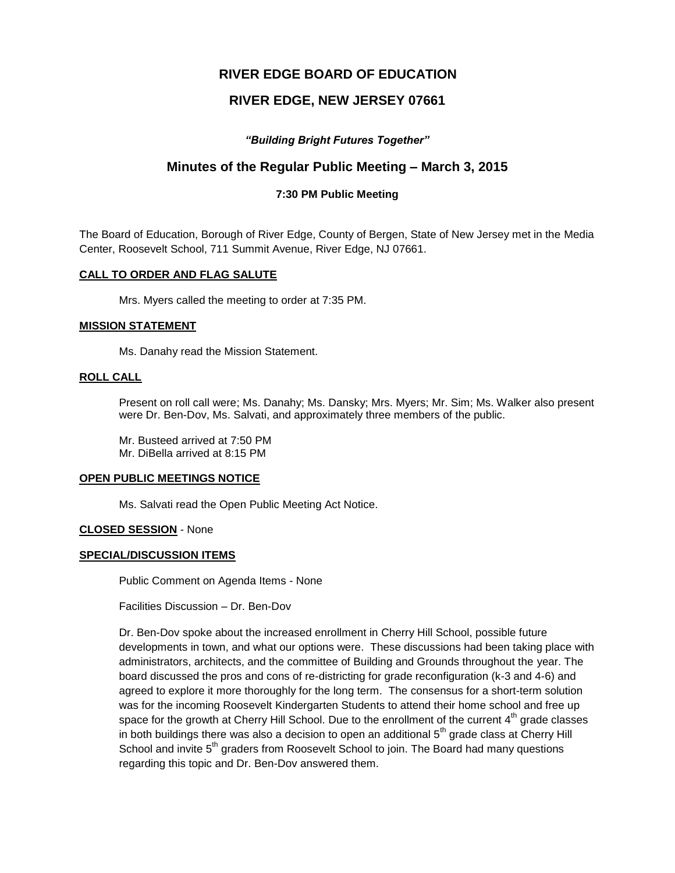# **RIVER EDGE BOARD OF EDUCATION**

# **RIVER EDGE, NEW JERSEY 07661**

# *"Building Bright Futures Together"*

# **Minutes of the Regular Public Meeting – March 3, 2015**

# **7:30 PM Public Meeting**

The Board of Education, Borough of River Edge, County of Bergen, State of New Jersey met in the Media Center, Roosevelt School, 711 Summit Avenue, River Edge, NJ 07661.

### **CALL TO ORDER AND FLAG SALUTE**

Mrs. Myers called the meeting to order at 7:35 PM.

#### **MISSION STATEMENT**

Ms. Danahy read the Mission Statement.

# **ROLL CALL**

Present on roll call were; Ms. Danahy; Ms. Dansky; Mrs. Myers; Mr. Sim; Ms. Walker also present were Dr. Ben-Dov, Ms. Salvati, and approximately three members of the public.

Mr. Busteed arrived at 7:50 PM Mr. DiBella arrived at 8:15 PM

### **OPEN PUBLIC MEETINGS NOTICE**

Ms. Salvati read the Open Public Meeting Act Notice.

### **CLOSED SESSION** - None

### **SPECIAL/DISCUSSION ITEMS**

Public Comment on Agenda Items - None

Facilities Discussion – Dr. Ben-Dov

Dr. Ben-Dov spoke about the increased enrollment in Cherry Hill School, possible future developments in town, and what our options were. These discussions had been taking place with administrators, architects, and the committee of Building and Grounds throughout the year. The board discussed the pros and cons of re-districting for grade reconfiguration (k-3 and 4-6) and agreed to explore it more thoroughly for the long term. The consensus for a short-term solution was for the incoming Roosevelt Kindergarten Students to attend their home school and free up space for the growth at Cherry Hill School. Due to the enrollment of the current  $4<sup>th</sup>$  grade classes in both buildings there was also a decision to open an additional  $5<sup>th</sup>$  grade class at Cherry Hill School and invite  $5<sup>th</sup>$  graders from Roosevelt School to join. The Board had many questions regarding this topic and Dr. Ben-Dov answered them.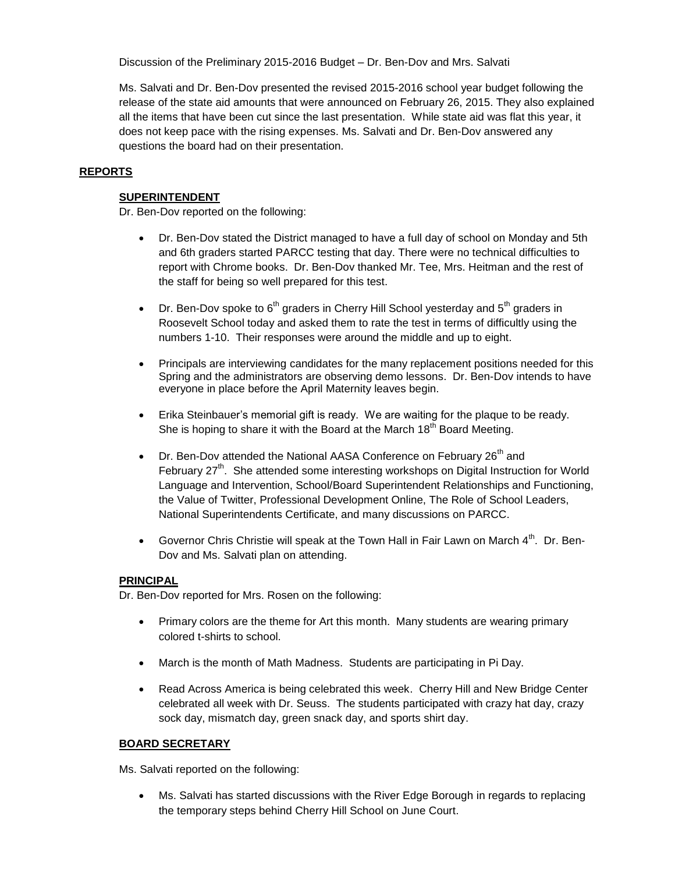Discussion of the Preliminary 2015-2016 Budget – Dr. Ben-Dov and Mrs. Salvati

Ms. Salvati and Dr. Ben-Dov presented the revised 2015-2016 school year budget following the release of the state aid amounts that were announced on February 26, 2015. They also explained all the items that have been cut since the last presentation. While state aid was flat this year, it does not keep pace with the rising expenses. Ms. Salvati and Dr. Ben-Dov answered any questions the board had on their presentation.

# **REPORTS**

## **SUPERINTENDENT**

Dr. Ben-Dov reported on the following:

- Dr. Ben-Dov stated the District managed to have a full day of school on Monday and 5th and 6th graders started PARCC testing that day. There were no technical difficulties to report with Chrome books. Dr. Ben-Dov thanked Mr. Tee, Mrs. Heitman and the rest of the staff for being so well prepared for this test.
- **•** Dr. Ben-Dov spoke to  $6<sup>th</sup>$  graders in Cherry Hill School yesterday and  $5<sup>th</sup>$  graders in Roosevelt School today and asked them to rate the test in terms of difficultly using the numbers 1-10. Their responses were around the middle and up to eight.
- Principals are interviewing candidates for the many replacement positions needed for this Spring and the administrators are observing demo lessons. Dr. Ben-Dov intends to have everyone in place before the April Maternity leaves begin.
- Erika Steinbauer's memorial gift is ready. We are waiting for the plaque to be ready. She is hoping to share it with the Board at the March  $18<sup>th</sup>$  Board Meeting.
- $\bullet$  Dr. Ben-Dov attended the National AASA Conference on February 26<sup>th</sup> and February 27<sup>th</sup>. She attended some interesting workshops on Digital Instruction for World Language and Intervention, School/Board Superintendent Relationships and Functioning, the Value of Twitter, Professional Development Online, The Role of School Leaders, National Superintendents Certificate, and many discussions on PARCC.
- Governor Chris Christie will speak at the Town Hall in Fair Lawn on March  $4<sup>th</sup>$ . Dr. Ben-Dov and Ms. Salvati plan on attending.

### **PRINCIPAL**

Dr. Ben-Dov reported for Mrs. Rosen on the following:

- Primary colors are the theme for Art this month. Many students are wearing primary colored t-shirts to school.
- March is the month of Math Madness. Students are participating in Pi Day.
- Read Across America is being celebrated this week. Cherry Hill and New Bridge Center celebrated all week with Dr. Seuss. The students participated with crazy hat day, crazy sock day, mismatch day, green snack day, and sports shirt day.

# **BOARD SECRETARY**

Ms. Salvati reported on the following:

 Ms. Salvati has started discussions with the River Edge Borough in regards to replacing the temporary steps behind Cherry Hill School on June Court.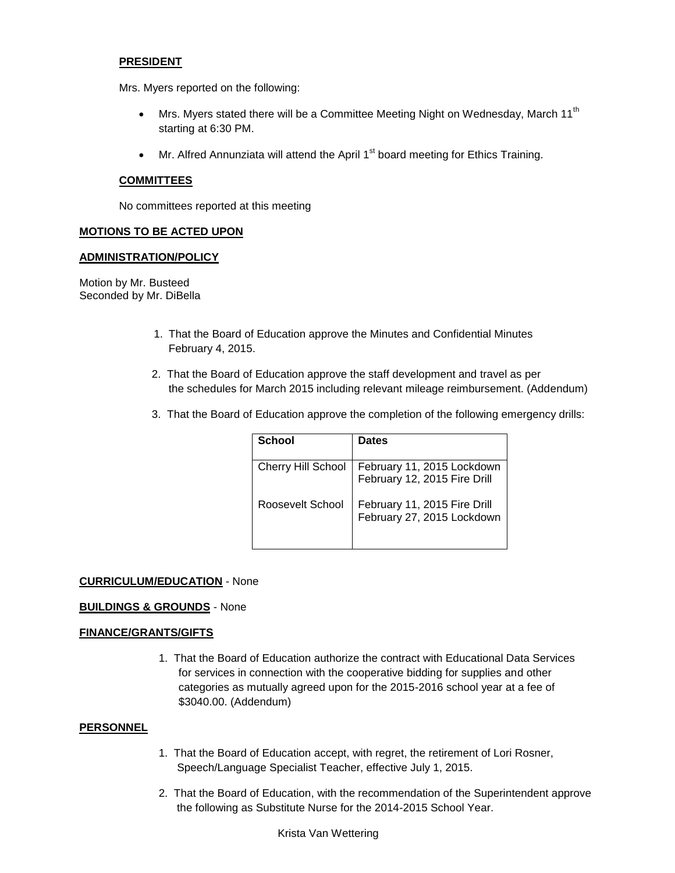### **PRESIDENT**

Mrs. Myers reported on the following:

- $\bullet$  Mrs. Myers stated there will be a Committee Meeting Night on Wednesday, March 11<sup>th</sup> starting at 6:30 PM.
- $\bullet$  Mr. Alfred Annunziata will attend the April 1<sup>st</sup> board meeting for Ethics Training.

#### **COMMITTEES**

No committees reported at this meeting

#### **MOTIONS TO BE ACTED UPON**

#### **ADMINISTRATION/POLICY**

Motion by Mr. Busteed Seconded by Mr. DiBella

- 1. That the Board of Education approve the Minutes and Confidential Minutes February 4, 2015.
- 2. That the Board of Education approve the staff development and travel as per the schedules for March 2015 including relevant mileage reimbursement. (Addendum)
- 3. That the Board of Education approve the completion of the following emergency drills:

| School             | <b>Dates</b>                                               |
|--------------------|------------------------------------------------------------|
| Cherry Hill School | February 11, 2015 Lockdown<br>February 12, 2015 Fire Drill |
| Roosevelt School   | February 11, 2015 Fire Drill<br>February 27, 2015 Lockdown |

### **CURRICULUM/EDUCATION** - None

### **BUILDINGS & GROUNDS** - None

### **FINANCE/GRANTS/GIFTS**

1. That the Board of Education authorize the contract with Educational Data Services for services in connection with the cooperative bidding for supplies and other categories as mutually agreed upon for the 2015-2016 school year at a fee of \$3040.00. (Addendum)

# **PERSONNEL**

- 1. That the Board of Education accept, with regret, the retirement of Lori Rosner, Speech/Language Specialist Teacher, effective July 1, 2015.
- 2. That the Board of Education, with the recommendation of the Superintendent approve the following as Substitute Nurse for the 2014-2015 School Year.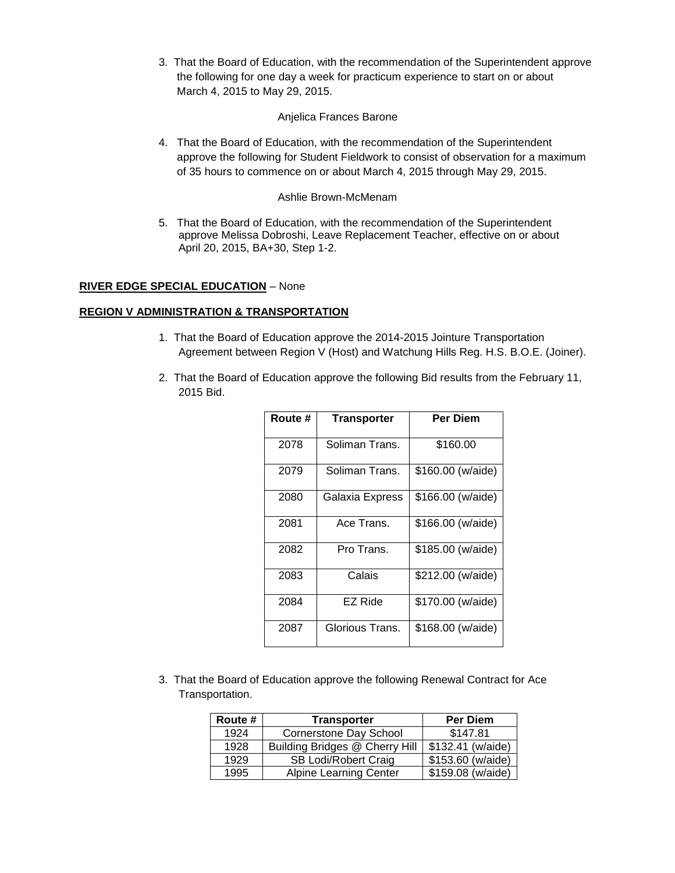3. That the Board of Education, with the recommendation of the Superintendent approve the following for one day a week for practicum experience to start on or about March 4, 2015 to May 29, 2015.

## Anjelica Frances Barone

4. That the Board of Education, with the recommendation of the Superintendent approve the following for Student Fieldwork to consist of observation for a maximum of 35 hours to commence on or about March 4, 2015 through May 29, 2015.

# Ashlie Brown-McMenam

5. That the Board of Education, with the recommendation of the Superintendent approve Melissa Dobroshi, Leave Replacement Teacher, effective on or about April 20, 2015, BA+30, Step 1-2.

# **RIVER EDGE SPECIAL EDUCATION** – None

# **REGION V ADMINISTRATION & TRANSPORTATION**

- 1. That the Board of Education approve the 2014-2015 Jointure Transportation Agreement between Region V (Host) and Watchung Hills Reg. H.S. B.O.E. (Joiner).
- 2. That the Board of Education approve the following Bid results from the February 11, 2015 Bid.

| Route # | <b>Transporter</b> | <b>Per Diem</b>   |
|---------|--------------------|-------------------|
| 2078    | Soliman Trans.     | \$160.00          |
| 2079    | Soliman Trans.     | \$160.00 (w/aide) |
| 2080    | Galaxia Express    | \$166.00 (w/aide) |
| 2081    | Ace Trans.         | \$166.00 (w/aide) |
| 2082    | Pro Trans.         | \$185.00 (w/aide) |
| 2083    | Calais             | \$212.00 (w/aide) |
| 2084    | EZ Ride            | \$170.00 (w/aide) |
| 2087    | Glorious Trans.    | \$168.00 (w/aide) |

3. That the Board of Education approve the following Renewal Contract for Ace Transportation.

| Route # | <b>Transporter</b>             | <b>Per Diem</b>    |
|---------|--------------------------------|--------------------|
| 1924    | Cornerstone Day School         | \$147.81           |
| 1928    | Building Bridges @ Cherry Hill | \$132.41 (w/aide)  |
| 1929    | SB Lodi/Robert Craig           | $$153.60$ (w/aide) |
| 1995    | <b>Alpine Learning Center</b>  | \$159.08 (w/aide)  |